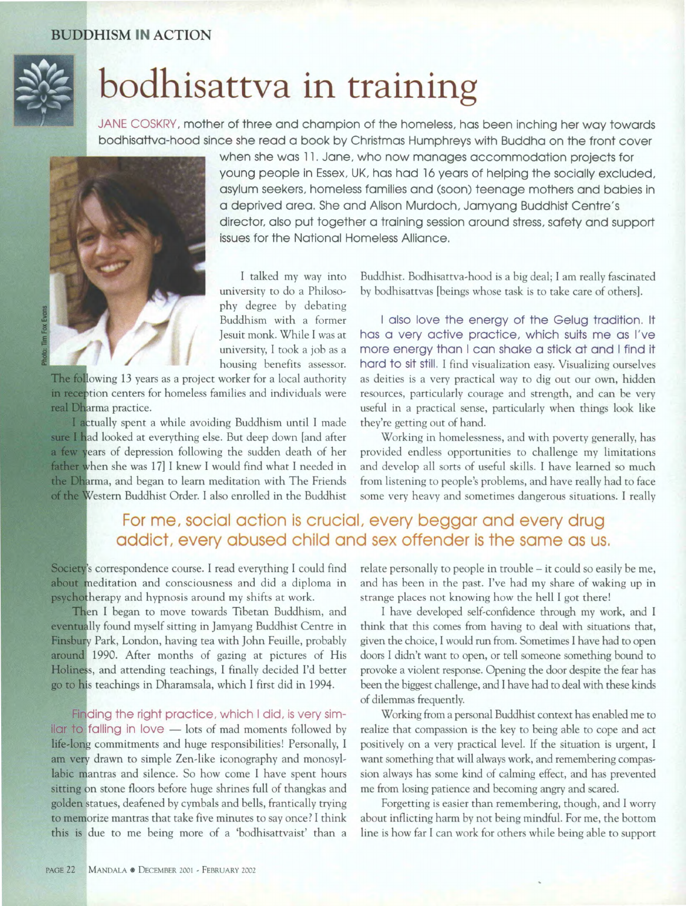## BUDDHISM **IN** ACTION



## **bodhisattva in training**

JANE COSKRY, mother of three and champion of the homeless, has been inching her way towards bodhisattva-hood since she read a book by Christmas Humphreys with Buddha on the front cover



when she was 11. Jane, who now manages accommodation projects for young people in Essex, UK, has had 16 years of helping the socially excluded, asylum seekers, homeless families and (soon) teenage mothers and babies in a deprived area. She and Alison Murdoch, Jamyang Buddhist Centre's director, also put together a training session around stress, safety and support issues for the National Homeless Alliance.

I talked my way into university to do a Philosophy degree by debating Buddhism with a former Jesuit monk. While I was at university, I took a job as a housing benefits assessor.

The following 13 years as a project worker for a local authority in reception centers for homeless families and individuals were real Dharma practice.

I actually spent a while avoiding Buddhism until I made sure I had looked at everything else. But deep down [and after a few years of depression following the sudden death of her father when she was 17] I knew I would find what I needed in the Dharma, and began to learn meditation with The Friends of the Western Buddhist Order. I also enrolled in the Buddhist Buddhist. Bodhisattva-hood is a big deal; I am really fascinated by bodhisattvas [beings whose task is to take care of others].

I also love the energy of the Gelug tradition. It has a very active practice, which suits me as I've more energy than I can shake a stick at and I find it hard to sit still. I find visualization easy. Visualizing ourselves as deities is a very practical way to dig out our own, hidden resources, particularly courage and strength, and can be very useful in a practical sense, particularly when things look like they're getting out of hand.

Working in homelessness, and with poverty generally, has provided endless opportunities to challenge my limitations and develop all sorts of useful skills. I have learned so much from listening to people's problems, and have really had to face some very heavy and sometimes dangerous situations. I really

## For me, social action is crucial, every beggar and every drug addict, every abused child and sex offender is the same as us.

Society's correspondence course. I read everything I could find about meditation and consciousness and did a diploma in psychotherapy and hypnosis around my shifts at work.

Then I began to move towards Tibetan Buddhism, and eventually found myself sitting in Jamyang Buddhist Centre in Finsbury Park, London, having tea with John Feuille, probably around 1990. After months of gazing at pictures of His Holiness, and attending teachings, I finally decided I'd better go to his teachings in Dharamsala, which I first did in 1994.

Finding the right practice, which I did, is very simil car to falling in love  $-$  lots of mad moments followed by life-long commitments and huge responsibilities! Personally, I am very drawn to simple Zen-like iconography and monosyllabic mantras and silence. So how come I have spent hours sitting on stone floors before huge shrines full of thangkas and golden statues, deafened by cymbals and bells, frantically trying to memorize mantras that take five minutes to say once? I think this is due to me being more of a 'bodhisattvaist' than a relate personally to people in trouble – it could so easily be me, and has been in the past. I've had my share of waking up in strange places not knowing how the hell I got there!

I have developed self-confidence through my work, and I think that this comes from having to deal with situations that, given the choice, I would run from. Sometimes I have had to open doors I didn't want to open, or tell someone something bound to provoke a violent response. Opening the door despite the fear has been the biggest challenge, and I have had to deal with these kinds of dilemmas frequently.

Working from a personal Buddhist context has enabled me to realize that compassion is the key to being able to cope and act positively on a very practical level. If the situation is urgent, I want something that will always work, and remembering compassion always has some kind of calming effect, and has prevented me from losing patience and becoming angry and scared.

Forgetting is easier than remembering, though, and I worry about inflicting harm by not being mindful. For me, the bottom line is how far I can work for others while being able to support